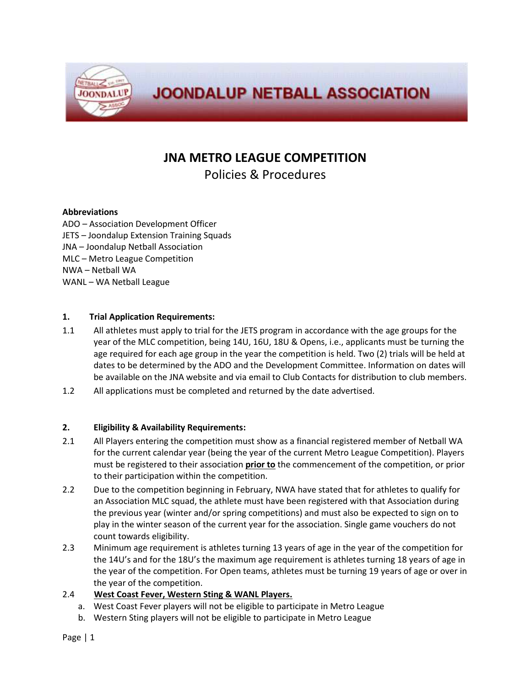

# **JNA METRO LEAGUE COMPETITION**

Policies & Procedures

#### **Abbreviations**

ADO – Association Development Officer JETS – Joondalup Extension Training Squads JNA – Joondalup Netball Association MLC – Metro League Competition NWA – Netball WA WANL – WA Netball League

#### **1. Trial Application Requirements:**

- 1.1 All athletes must apply to trial for the JETS program in accordance with the age groups for the year of the MLC competition, being 14U, 16U, 18U & Opens, i.e., applicants must be turning the age required for each age group in the year the competition is held. Two (2) trials will be held at dates to be determined by the ADO and the Development Committee. Information on dates will be available on the JNA website and via email to Club Contacts for distribution to club members.
- 1.2 All applications must be completed and returned by the date advertised.

### **2. Eligibility & Availability Requirements:**

- 2.1 All Players entering the competition must show as a financial registered member of Netball WA for the current calendar year (being the year of the current Metro League Competition). Players must be registered to their association **prior to** the commencement of the competition, or prior to their participation within the competition.
- 2.2 Due to the competition beginning in February, NWA have stated that for athletes to qualify for an Association MLC squad, the athlete must have been registered with that Association during the previous year (winter and/or spring competitions) and must also be expected to sign on to play in the winter season of the current year for the association. Single game vouchers do not count towards eligibility.
- 2.3 Minimum age requirement is athletes turning 13 years of age in the year of the competition for the 14U's and for the 18U's the maximum age requirement is athletes turning 18 years of age in the year of the competition. For Open teams, athletes must be turning 19 years of age or over in the year of the competition.

#### 2.4 **West Coast Fever, Western Sting & WANL Players.**

- a. West Coast Fever players will not be eligible to participate in Metro League
- b. Western Sting players will not be eligible to participate in Metro League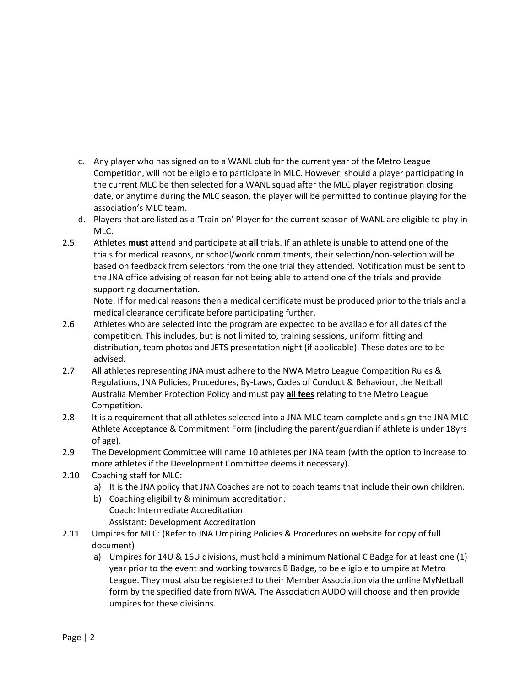- c. Any player who has signed on to a WANL club for the current year of the Metro League Competition, will not be eligible to participate in MLC. However, should a player participating in the current MLC be then selected for a WANL squad after the MLC player registration closing date, or anytime during the MLC season, the player will be permitted to continue playing for the association's MLC team.
- d. Players that are listed as a 'Train on' Player for the current season of WANL are eligible to play in MLC.
- 2.5 Athletes **must** attend and participate at **all** trials. If an athlete is unable to attend one of the trials for medical reasons, or school/work commitments, their selection/non-selection will be based on feedback from selectors from the one trial they attended. Notification must be sent to the JNA office advising of reason for not being able to attend one of the trials and provide supporting documentation.

Note: If for medical reasons then a medical certificate must be produced prior to the trials and a medical clearance certificate before participating further.

- 2.6 Athletes who are selected into the program are expected to be available for all dates of the competition. This includes, but is not limited to, training sessions, uniform fitting and distribution, team photos and JETS presentation night (if applicable). These dates are to be advised.
- 2.7 All athletes representing JNA must adhere to the NWA Metro League Competition Rules & Regulations, JNA Policies, Procedures, By-Laws, Codes of Conduct & Behaviour, the Netball Australia Member Protection Policy and must pay **all fees** relating to the Metro League Competition.
- 2.8 It is a requirement that all athletes selected into a JNA MLC team complete and sign the JNA MLC Athlete Acceptance & Commitment Form (including the parent/guardian if athlete is under 18yrs of age).
- 2.9 The Development Committee will name 10 athletes per JNA team (with the option to increase to more athletes if the Development Committee deems it necessary).
- 2.10 Coaching staff for MLC:
	- a) It is the JNA policy that JNA Coaches are not to coach teams that include their own children.
	- b) Coaching eligibility & minimum accreditation: Coach: Intermediate Accreditation
		- Assistant: Development Accreditation
- 2.11 Umpires for MLC: (Refer to JNA Umpiring Policies & Procedures on website for copy of full document)
	- a) Umpires for 14U & 16U divisions, must hold a minimum National C Badge for at least one (1) year prior to the event and working towards B Badge, to be eligible to umpire at Metro League. They must also be registered to their Member Association via the online MyNetball form by the specified date from NWA. The Association AUDO will choose and then provide umpires for these divisions.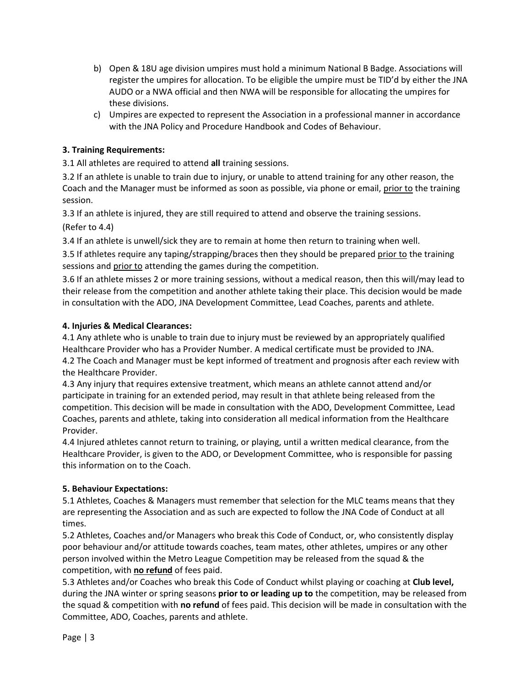- b) Open & 18U age division umpires must hold a minimum National B Badge. Associations will register the umpires for allocation. To be eligible the umpire must be TID'd by either the JNA AUDO or a NWA official and then NWA will be responsible for allocating the umpires for these divisions.
- c) Umpires are expected to represent the Association in a professional manner in accordance with the JNA Policy and Procedure Handbook and Codes of Behaviour.

## **3. Training Requirements:**

3.1 All athletes are required to attend **all** training sessions.

3.2 If an athlete is unable to train due to injury, or unable to attend training for any other reason, the Coach and the Manager must be informed as soon as possible, via phone or email, prior to the training session.

3.3 If an athlete is injured, they are still required to attend and observe the training sessions. (Refer to 4.4)

3.4 If an athlete is unwell/sick they are to remain at home then return to training when well.

3.5 If athletes require any taping/strapping/braces then they should be prepared prior to the training sessions and prior to attending the games during the competition.

3.6 If an athlete misses 2 or more training sessions, without a medical reason, then this will/may lead to their release from the competition and another athlete taking their place. This decision would be made in consultation with the ADO, JNA Development Committee, Lead Coaches, parents and athlete.

### **4. Injuries & Medical Clearances:**

4.1 Any athlete who is unable to train due to injury must be reviewed by an appropriately qualified Healthcare Provider who has a Provider Number. A medical certificate must be provided to JNA. 4.2 The Coach and Manager must be kept informed of treatment and prognosis after each review with the Healthcare Provider.

4.3 Any injury that requires extensive treatment, which means an athlete cannot attend and/or participate in training for an extended period, may result in that athlete being released from the competition. This decision will be made in consultation with the ADO, Development Committee, Lead Coaches, parents and athlete, taking into consideration all medical information from the Healthcare Provider.

4.4 Injured athletes cannot return to training, or playing, until a written medical clearance, from the Healthcare Provider, is given to the ADO, or Development Committee, who is responsible for passing this information on to the Coach.

### **5. Behaviour Expectations:**

5.1 Athletes, Coaches & Managers must remember that selection for the MLC teams means that they are representing the Association and as such are expected to follow the JNA Code of Conduct at all times.

5.2 Athletes, Coaches and/or Managers who break this Code of Conduct, or, who consistently display poor behaviour and/or attitude towards coaches, team mates, other athletes, umpires or any other person involved within the Metro League Competition may be released from the squad & the competition, with **no refund** of fees paid.

5.3 Athletes and/or Coaches who break this Code of Conduct whilst playing or coaching at **Club level,**  during the JNA winter or spring seasons **prior to or leading up to** the competition, may be released from the squad & competition with **no refund** of fees paid. This decision will be made in consultation with the Committee, ADO, Coaches, parents and athlete.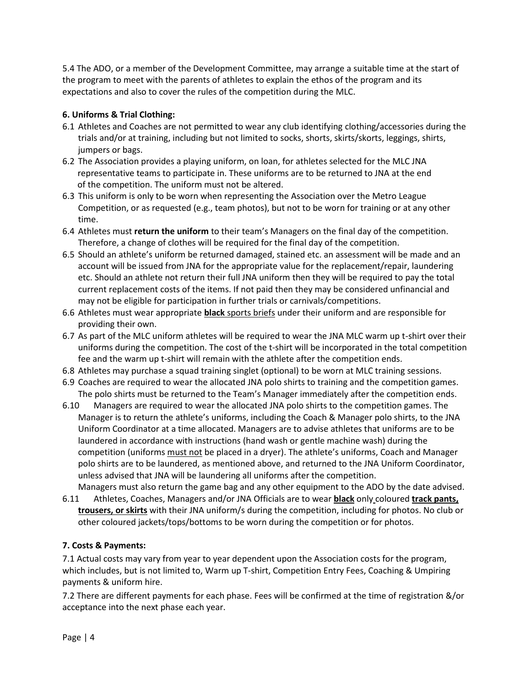5.4 The ADO, or a member of the Development Committee, may arrange a suitable time at the start of the program to meet with the parents of athletes to explain the ethos of the program and its expectations and also to cover the rules of the competition during the MLC.

## **6. Uniforms & Trial Clothing:**

- 6.1 Athletes and Coaches are not permitted to wear any club identifying clothing/accessories during the trials and/or at training, including but not limited to socks, shorts, skirts/skorts, leggings, shirts, jumpers or bags.
- 6.2 The Association provides a playing uniform, on loan, for athletes selected for the MLC JNA representative teams to participate in. These uniforms are to be returned to JNA at the end of the competition. The uniform must not be altered.
- 6.3 This uniform is only to be worn when representing the Association over the Metro League Competition, or as requested (e.g., team photos), but not to be worn for training or at any other time.
- 6.4 Athletes must **return the uniform** to their team's Managers on the final day of the competition. Therefore, a change of clothes will be required for the final day of the competition.
- 6.5 Should an athlete's uniform be returned damaged, stained etc. an assessment will be made and an account will be issued from JNA for the appropriate value for the replacement/repair, laundering etc. Should an athlete not return their full JNA uniform then they will be required to pay the total current replacement costs of the items. If not paid then they may be considered unfinancial and may not be eligible for participation in further trials or carnivals/competitions.
- 6.6 Athletes must wear appropriate **black** sports briefs under their uniform and are responsible for providing their own.
- 6.7 As part of the MLC uniform athletes will be required to wear the JNA MLC warm up t-shirt over their uniforms during the competition. The cost of the t-shirt will be incorporated in the total competition fee and the warm up t-shirt will remain with the athlete after the competition ends.
- 6.8 Athletes may purchase a squad training singlet (optional) to be worn at MLC training sessions.
- 6.9 Coaches are required to wear the allocated JNA polo shirts to training and the competition games. The polo shirts must be returned to the Team's Manager immediately after the competition ends.
- 6.10 Managers are required to wear the allocated JNA polo shirts to the competition games. The Manager is to return the athlete's uniforms, including the Coach & Manager polo shirts, to the JNA Uniform Coordinator at a time allocated. Managers are to advise athletes that uniforms are to be laundered in accordance with instructions (hand wash or gentle machine wash) during the competition (uniforms must not be placed in a dryer). The athlete's uniforms, Coach and Manager polo shirts are to be laundered, as mentioned above, and returned to the JNA Uniform Coordinator, unless advised that JNA will be laundering all uniforms after the competition.
- Managers must also return the game bag and any other equipment to the ADO by the date advised. 6.11 Athletes, Coaches, Managers and/or JNA Officials are to wear **black** only coloured **track pants, trousers, or skirts** with their JNA uniform/s during the competition, including for photos. No club or other coloured jackets/tops/bottoms to be worn during the competition or for photos.

## **7. Costs & Payments:**

7.1 Actual costs may vary from year to year dependent upon the Association costs for the program, which includes, but is not limited to, Warm up T-shirt, Competition Entry Fees, Coaching & Umpiring payments & uniform hire.

7.2 There are different payments for each phase. Fees will be confirmed at the time of registration &/or acceptance into the next phase each year.